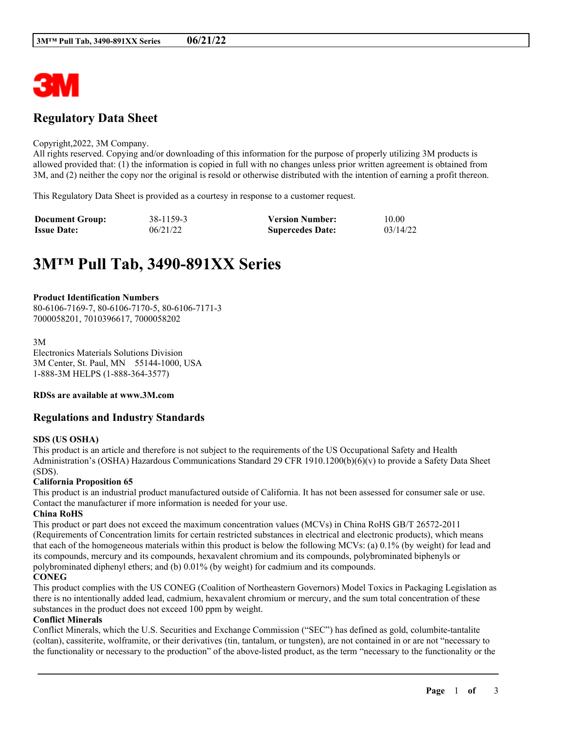

# **Regulatory Data Sheet**

#### Copyright,2022, 3M Company.

All rights reserved. Copying and/or downloading of this information for the purpose of properly utilizing 3M products is allowed provided that: (1) the information is copied in full with no changes unless prior written agreement is obtained from 3M, and (2) neither the copy nor the original is resold or otherwise distributed with the intention of earning a profit thereon.

This Regulatory Data Sheet is provided as a courtesy in response to a customer request.

| <b>Document Group:</b> | 38-1159-3 | <b>Version Number:</b>  | 10.00    |
|------------------------|-----------|-------------------------|----------|
| <b>Issue Date:</b>     | 06/21/22  | <b>Supercedes Date:</b> | 03/14/22 |

# **3M™ Pull Tab, 3490-891XX Series**

#### **Product Identification Numbers**

80-6106-7169-7, 80-6106-7170-5, 80-6106-7171-3 7000058201, 7010396617, 7000058202

3M Electronics Materials Solutions Division 3M Center, St. Paul, MN 55144-1000, USA 1-888-3M HELPS (1-888-364-3577)

#### **RDSs are available at www.3M.com**

# **Regulations and Industry Standards**

#### **SDS (US OSHA)**

This product is an article and therefore is not subject to the requirements of the US Occupational Safety and Health Administration's (OSHA) Hazardous Communications Standard 29 CFR 1910.1200(b)(6)(v) to provide a Safety Data Sheet (SDS).

### **California Proposition 65**

This product is an industrial product manufactured outside of California. It has not been assessed for consumer sale or use. Contact the manufacturer if more information is needed for your use.

#### **China RoHS**

This product or part does not exceed the maximum concentration values (MCVs) in China RoHS GB/T 26572-2011 (Requirements of Concentration limits for certain restricted substances in electrical and electronic products), which means that each of the homogeneous materials within this product is below the following MCVs: (a) 0.1% (by weight) for lead and its compounds, mercury and its compounds, hexavalent chromium and its compounds, polybrominated biphenyls or polybrominated diphenyl ethers; and (b) 0.01% (by weight) for cadmium and its compounds.

#### **CONEG**

This product complies with the US CONEG (Coalition of Northeastern Governors) Model Toxics in Packaging Legislation as there is no intentionally added lead, cadmium, hexavalent chromium or mercury, and the sum total concentration of these substances in the product does not exceed 100 ppm by weight.

#### **Conflict Minerals**

Conflict Minerals, which the U.S. Securities and Exchange Commission ("SEC") has defined as gold, columbite-tantalite (coltan), cassiterite, wolframite, or their derivatives (tin, tantalum, or tungsten), are not contained in or are not "necessary to the functionality or necessary to the production" of the above-listed product, as the term "necessary to the functionality or the

\_\_\_\_\_\_\_\_\_\_\_\_\_\_\_\_\_\_\_\_\_\_\_\_\_\_\_\_\_\_\_\_\_\_\_\_\_\_\_\_\_\_\_\_\_\_\_\_\_\_\_\_\_\_\_\_\_\_\_\_\_\_\_\_\_\_\_\_\_\_\_\_\_\_\_\_\_\_\_\_\_\_\_\_\_\_\_\_\_\_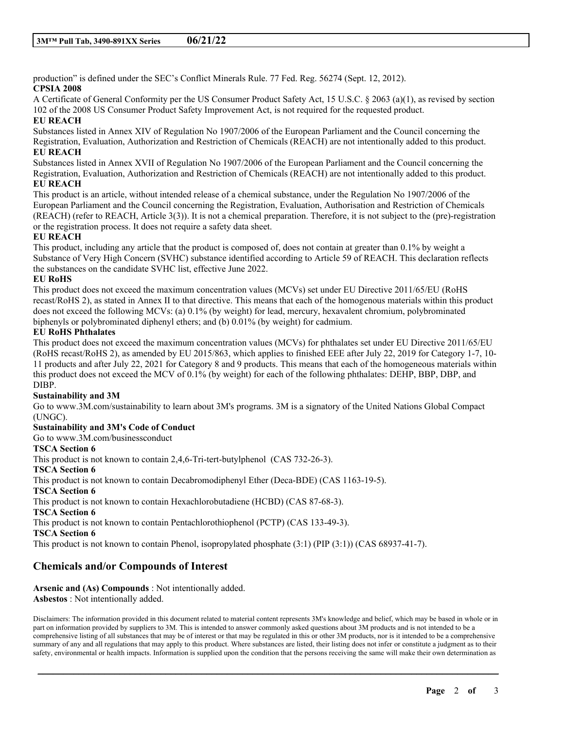production" is defined under the SEC's Conflict Minerals Rule. 77 Fed. Reg. 56274 (Sept. 12, 2012). **CPSIA 2008**

A Certificate of General Conformity per the US Consumer Product Safety Act, 15 U.S.C. § 2063 (a)(1), as revised by section 102 of the 2008 US Consumer Product Safety Improvement Act, is not required for the requested product. **EU REACH**

Substances listed in Annex XIV of Regulation No 1907/2006 of the European Parliament and the Council concerning the Registration, Evaluation, Authorization and Restriction of Chemicals (REACH) are not intentionally added to this product. **EU REACH**

Substances listed in Annex XVII of Regulation No 1907/2006 of the European Parliament and the Council concerning the Registration, Evaluation, Authorization and Restriction of Chemicals (REACH) are not intentionally added to this product. **EU REACH**

This product is an article, without intended release of a chemical substance, under the Regulation No 1907/2006 of the European Parliament and the Council concerning the Registration, Evaluation, Authorisation and Restriction of Chemicals (REACH) (refer to REACH, Article 3(3)). It is not a chemical preparation. Therefore, it is not subject to the (pre)-registration or the registration process. It does not require a safety data sheet.

# **EU REACH**

This product, including any article that the product is composed of, does not contain at greater than 0.1% by weight a Substance of Very High Concern (SVHC) substance identified according to Article 59 of REACH. This declaration reflects the substances on the candidate SVHC list, effective June 2022.

# **EU RoHS**

This product does not exceed the maximum concentration values (MCVs) set under EU Directive 2011/65/EU (RoHS recast/RoHS 2), as stated in Annex II to that directive. This means that each of the homogenous materials within this product does not exceed the following MCVs: (a) 0.1% (by weight) for lead, mercury, hexavalent chromium, polybrominated biphenyls or polybrominated diphenyl ethers; and (b) 0.01% (by weight) for cadmium.

# **EU RoHS Phthalates**

This product does not exceed the maximum concentration values (MCVs) for phthalates set under EU Directive 2011/65/EU (RoHS recast/RoHS 2), as amended by EU 2015/863, which applies to finished EEE after July 22, 2019 for Category 1-7, 10- 11 products and after July 22, 2021 for Category 8 and 9 products. This means that each of the homogeneous materials within this product does not exceed the MCV of 0.1% (by weight) for each of the following phthalates: DEHP, BBP, DBP, and DIBP.

# **Sustainability and 3M**

Go to www.3M.com/sustainability to learn about 3M's programs. 3M is a signatory of the United Nations Global Compact (UNGC).

# **Sustainability and 3M's Code of Conduct**

Go to www.3M.com/businessconduct

# **TSCA Section 6**

This product is not known to contain 2,4,6-Tri-tert-butylphenol (CAS 732-26-3). **TSCA Section 6** This product is not known to contain Decabromodiphenyl Ether (Deca-BDE) (CAS 1163-19-5). **TSCA Section 6** This product is not known to contain Hexachlorobutadiene (HCBD) (CAS 87-68-3). **TSCA Section 6** This product is not known to contain Pentachlorothiophenol (PCTP) (CAS 133-49-3). **TSCA Section 6** This product is not known to contain Phenol, isopropylated phosphate (3:1) (PIP (3:1)) (CAS 68937-41-7).

# **Chemicals and/or Compounds of Interest**

**Arsenic and (As) Compounds** : Not intentionally added. **Asbestos** : Not intentionally added.

Disclaimers: The information provided in this document related to material content represents 3M's knowledge and belief, which may be based in whole or in part on information provided by suppliers to 3M. This is intended to answer commonly asked questions about 3M products and is not intended to be a comprehensive listing of all substances that may be of interest or that may be regulated in this or other 3M products, nor is it intended to be a comprehensive summary of any and all regulations that may apply to this product. Where substances are listed, their listing does not infer or constitute a judgment as to their safety, environmental or health impacts. Information is supplied upon the condition that the persons receiving the same will make their own determination as

\_\_\_\_\_\_\_\_\_\_\_\_\_\_\_\_\_\_\_\_\_\_\_\_\_\_\_\_\_\_\_\_\_\_\_\_\_\_\_\_\_\_\_\_\_\_\_\_\_\_\_\_\_\_\_\_\_\_\_\_\_\_\_\_\_\_\_\_\_\_\_\_\_\_\_\_\_\_\_\_\_\_\_\_\_\_\_\_\_\_